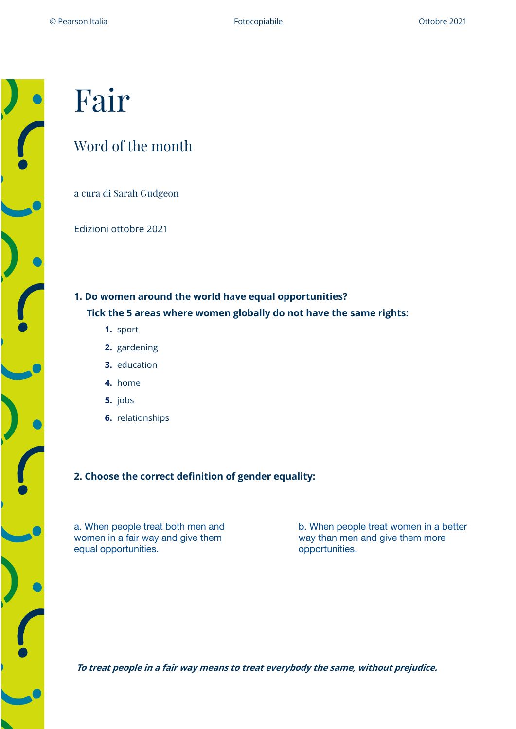# Fair

## Word of the month

a cura di Sarah Gudgeon

Edizioni ottobre 2021

**1. Do women around the world have equal opportunities? Tick the 5 areas where women globally do not have the same rights:**

- **1.** sport
- **2.** gardening
- **3.** education
- **4.** home
- **5.** jobs
- **6.** relationships

## **2. Choose the correct definition of gender equality:**

a. When people treat both men and women in a fair way and give them equal opportunities.

b. When people treat women in a better way than men and give them more opportunities.

**To treat people in a fair way means to treat everybody the same, without prejudice.**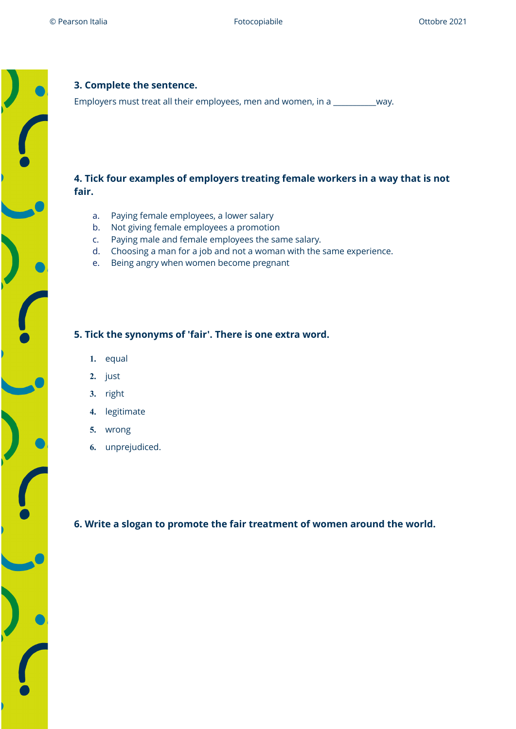## **3. Complete the sentence.**

Employers must treat all their employees, men and women, in a \_\_\_\_\_\_\_\_\_\_\_way.

### **4. Tick four examples of employers treating female workers in a way that is not fair.**

- a. Paying female employees, a lower salary
- b. Not giving female employees a promotion
- c. Paying male and female employees the same salary.
- d. Choosing a man for a job and not a woman with the same experience.
- e. Being angry when women become pregnant

### **5. Tick the synonyms of 'fair'. There is one extra word.**

- **1.** equal
- **2.** just
- **3.** right
- **4.** legitimate
- **5.** wrong
- **6.** unprejudiced.

**6. Write a slogan to promote the fair treatment of women around the world.**